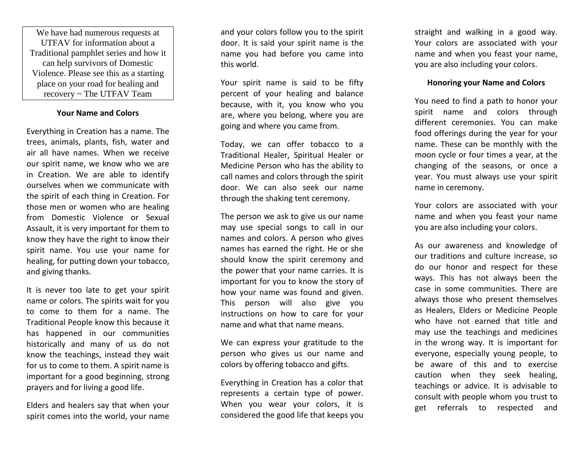We have had numerous requests at UTFAV for information about a Traditional pamphlet series and how it can help survivors of Domestic Violence. Please see this as a starting place on your road for healing and recovery ~ The UTFAV Team

#### **Your Name and Colors**

Everything in Creation has a name. The trees, animals, plants, fish, water and air all have names. When we receive our spirit name, we know who we are in Creation. We are able to identify ourselves when we communicate with the spirit of each thing in Creation. For those men or women who are healing from Domestic Violence or Sexual Assault, it is very important for them to know they have the right to know their spirit name. You use your name for healing, for putting down your tobacco, and giving thanks.

It is never too late to get your spirit name or colors. The spirits wait for you to come to them for a name. The Traditional People know this because it has happened in our communities historically and many of us do not know the teachings, instead they wait for us to come to them. A spirit name is important for a good beginning, strong prayers and for living a good life.

Elders and healers say that when your spirit comes into the world, your name and your colors follow you to the spirit door. It is said your spirit name is the name you had before you came into this world.

Your spirit name is said to be fifty percent of your healing and balance because, with it, you know who you are, where you belong, where you are going and where you came from.

Today, we can offer tobacco to a Traditional Healer, Spiritual Healer or Medicine Person who has the ability to call names and colors through the spirit door. We can also seek our name through the shaking tent ceremony.

The person we ask to give us our name may use special songs to call in our names and colors. A person who gives names has earned the right. He or she should know the spirit ceremony and the power that your name carries. It is important for you to know the story of how your name was found and given. This person will also give you instructions on how to care for your name and what that name means.

We can express your gratitude to the person who gives us our name and colors by offering tobacco and gifts.

Everything in Creation has a color that represents a certain type of power. When you wear your colors, it is considered the good life that keeps you

straight and walking in a good way. Your colors are associated with your name and when you feast your name, you are also including your colors.

#### **Honoring your Name and Colors**

You need to find a path to honor your spirit name and colors through different ceremonies. You can make food offerings during the year for your name. These can be monthly with the moon cycle or four times a year, at the changing of the seasons, or once a year. You must always use your spirit name in ceremony.

Your colors are associated with your name and when you feast your name you are also including your colors.

As our awareness and knowledge of our traditions and culture increase, so do our honor and respect for these ways. This has not always been the case in some communities. There are always those who present themselves as Healers, Elders or Medicine People who have not earned that title and may use the teachings and medicines in the wrong way. It is important for everyone, especially young people, to be aware of this and to exercise caution when they seek healing, teachings or advice. It is advisable to consult with people whom you trust to get referrals to respected and